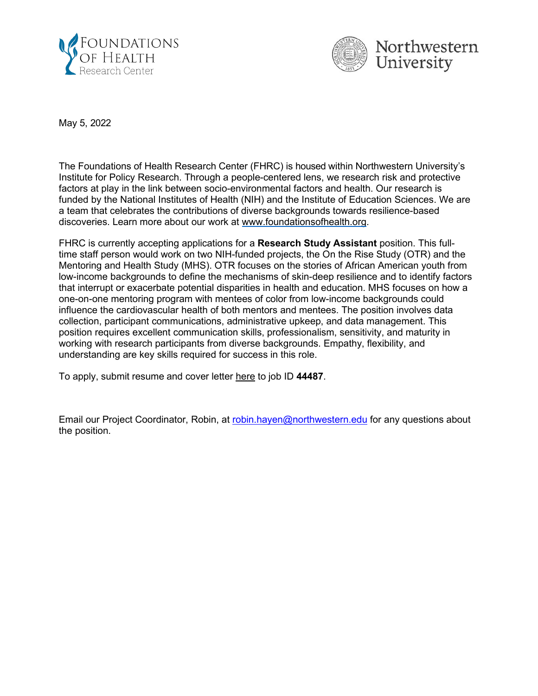



May 5, 2022

The Foundations of Health Research Center (FHRC) is housed within Northwestern University's Institute for Policy Research. Through a people-centered lens, we research risk and protective factors at play in the link between socio-environmental factors and health. Our research is funded by the National Institutes of Health (NIH) and the Institute of Education Sciences. We are a team that celebrates the contributions of diverse backgrounds towards resilience-based discoveries. Learn more about our work at [www.foundationsofhealth.org.](http://www.foundationsofhealth.org/)

FHRC is currently accepting applications for a **Research Study Assistant** position. This fulltime staff person would work on two NIH-funded projects, the On the Rise Study (OTR) and the Mentoring and Health Study (MHS). OTR focuses on the stories of African American youth from low-income backgrounds to define the mechanisms of skin-deep resilience and to identify factors that interrupt or exacerbate potential disparities in health and education. MHS focuses on how a one-on-one mentoring program with mentees of color from low-income backgrounds could influence the cardiovascular health of both mentors and mentees. The position involves data collection, participant communications, administrative upkeep, and data management. This position requires excellent communication skills, professionalism, sensitivity, and maturity in working with research participants from diverse backgrounds. Empathy, flexibility, and understanding are key skills required for success in this role.

To apply, submit resume and cover letter [here](https://careers.northwestern.edu/psc/hr857prd_er/EMPLOYEE/HRMS/c/HRS_HRAM_FL.HRS_CG_SEARCH_FL.GBL?Page=HRS_APP_SCHJOB_FL&Action=U) to job ID **44487**.

Email our Project Coordinator, Robin, at [robin.hayen@northwestern.edu](mailto:robin.hayen@northwestern.edu) for any questions about the position.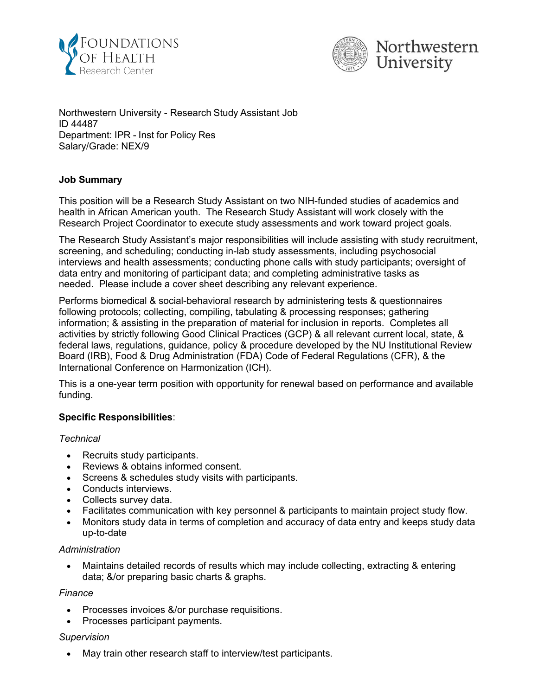



Northwestern University - Research Study Assistant Job ID 44487 Department: IPR - Inst for Policy Res Salary/Grade: NEX/9

# **Job Summary**

This position will be a Research Study Assistant on two NIH-funded studies of academics and health in African American youth. The Research Study Assistant will work closely with the Research Project Coordinator to execute study assessments and work toward project goals.

The Research Study Assistant's major responsibilities will include assisting with study recruitment, screening, and scheduling; conducting in-lab study assessments, including psychosocial interviews and health assessments; conducting phone calls with study participants; oversight of data entry and monitoring of participant data; and completing administrative tasks as needed. Please include a cover sheet describing any relevant experience.

Performs biomedical & social-behavioral research by administering tests & questionnaires following protocols; collecting, compiling, tabulating & processing responses; gathering information; & assisting in the preparation of material for inclusion in reports. Completes all activities by strictly following Good Clinical Practices (GCP) & all relevant current local, state, & federal laws, regulations, guidance, policy & procedure developed by the NU Institutional Review Board (IRB), Food & Drug Administration (FDA) Code of Federal Regulations (CFR), & the International Conference on Harmonization (ICH).

This is a one-year term position with opportunity for renewal based on performance and available funding.

# **Specific Responsibilities**:

# *Technical*

- Recruits study participants.
- Reviews & obtains informed consent.
- Screens & schedules study visits with participants.
- Conducts interviews.
- Collects survey data.
- Facilitates communication with key personnel & participants to maintain project study flow.
- Monitors study data in terms of completion and accuracy of data entry and keeps study data up-to-date

### *Administration*

• Maintains detailed records of results which may include collecting, extracting & entering data; &/or preparing basic charts & graphs.

### *Finance*

- Processes invoices &/or purchase requisitions.
- Processes participant payments.

### *Supervision*

• May train other research staff to interview/test participants.